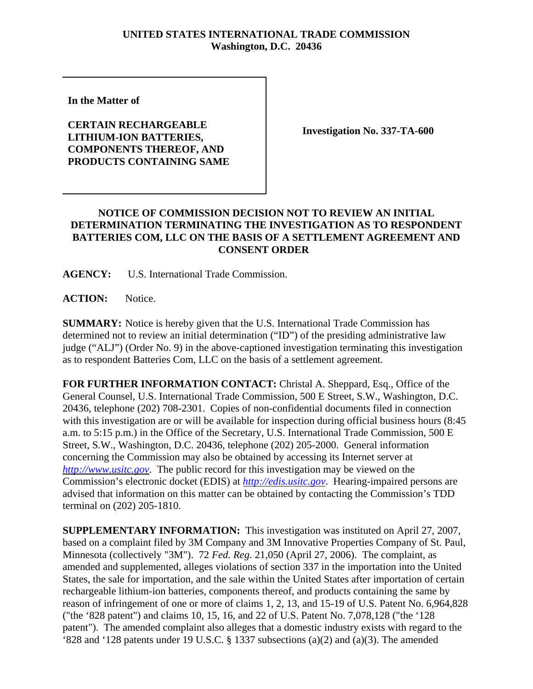## **UNITED STATES INTERNATIONAL TRADE COMMISSION Washington, D.C. 20436**

**In the Matter of** 

## **CERTAIN RECHARGEABLE LITHIUM-ION BATTERIES, COMPONENTS THEREOF, AND PRODUCTS CONTAINING SAME**

**Investigation No. 337-TA-600**

## **NOTICE OF COMMISSION DECISION NOT TO REVIEW AN INITIAL DETERMINATION TERMINATING THE INVESTIGATION AS TO RESPONDENT BATTERIES COM, LLC ON THE BASIS OF A SETTLEMENT AGREEMENT AND CONSENT ORDER**

**AGENCY:** U.S. International Trade Commission.

**ACTION:** Notice.

**SUMMARY:** Notice is hereby given that the U.S. International Trade Commission has determined not to review an initial determination ("ID") of the presiding administrative law judge ("ALJ") (Order No. 9) in the above-captioned investigation terminating this investigation as to respondent Batteries Com, LLC on the basis of a settlement agreement.

**FOR FURTHER INFORMATION CONTACT:** Christal A. Sheppard, Esq., Office of the General Counsel, U.S. International Trade Commission, 500 E Street, S.W., Washington, D.C. 20436, telephone (202) 708-2301. Copies of non-confidential documents filed in connection with this investigation are or will be available for inspection during official business hours (8:45 a.m. to 5:15 p.m.) in the Office of the Secretary, U.S. International Trade Commission, 500 E Street, S.W., Washington, D.C. 20436, telephone (202) 205-2000. General information concerning the Commission may also be obtained by accessing its Internet server at *http://www.usitc.gov*. The public record for this investigation may be viewed on the Commission's electronic docket (EDIS) at *http://edis.usitc.gov*. Hearing-impaired persons are advised that information on this matter can be obtained by contacting the Commission's TDD terminal on (202) 205-1810.

**SUPPLEMENTARY INFORMATION:** This investigation was instituted on April 27, 2007, based on a complaint filed by 3M Company and 3M Innovative Properties Company of St. Paul, Minnesota (collectively "3M"). 72 *Fed. Reg*. 21,050 (April 27, 2006). The complaint, as amended and supplemented, alleges violations of section 337 in the importation into the United States, the sale for importation, and the sale within the United States after importation of certain rechargeable lithium-ion batteries, components thereof, and products containing the same by reason of infringement of one or more of claims 1, 2, 13, and 15-19 of U.S. Patent No. 6,964,828 ("the '828 patent") and claims 10, 15, 16, and 22 of U.S. Patent No. 7,078,128 ("the '128 patent"). The amended complaint also alleges that a domestic industry exists with regard to the '828 and '128 patents under 19 U.S.C. § 1337 subsections (a)(2) and (a)(3). The amended